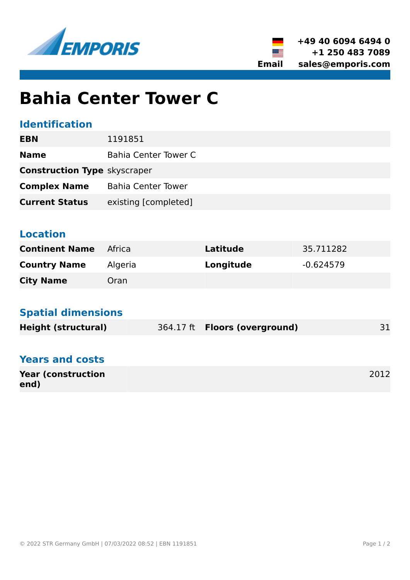



# **Bahia Center Tower C**

# **Identification**

| <b>EBN</b>                          | 1191851                   |
|-------------------------------------|---------------------------|
| <b>Name</b>                         | Bahia Center Tower C      |
| <b>Construction Type skyscraper</b> |                           |
| <b>Complex Name</b>                 | <b>Bahia Center Tower</b> |
| <b>Current Status</b>               | existing [completed]      |
|                                     |                           |

# **Location**

| <b>Continent Name</b> | Africa  | Latitude  | 35.711282   |
|-----------------------|---------|-----------|-------------|
| <b>Country Name</b>   | Algeria | Longitude | $-0.624579$ |
| <b>City Name</b>      | Oran    |           |             |

#### **Spatial dimensions**

| <b>Height (structural)</b> | 364.17 ft <b>Floors (overground)</b> | 31 |
|----------------------------|--------------------------------------|----|
|                            |                                      |    |

# **Years and costs**

| <b>Year (construction)</b> | 2012 |
|----------------------------|------|
| end)                       |      |